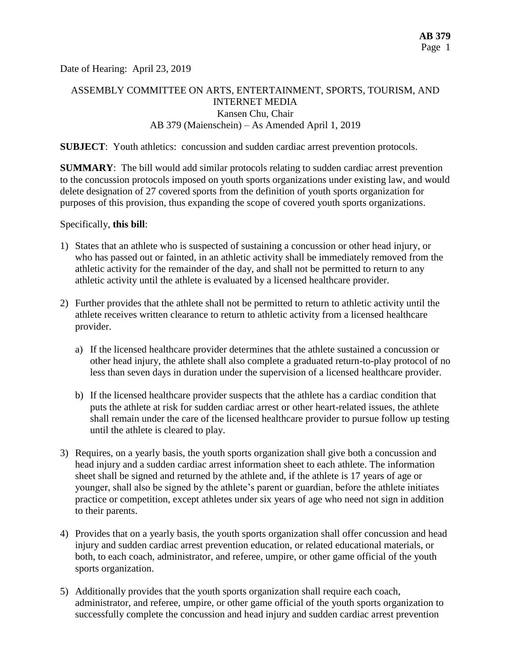Date of Hearing: April 23, 2019

# ASSEMBLY COMMITTEE ON ARTS, ENTERTAINMENT, SPORTS, TOURISM, AND INTERNET MEDIA Kansen Chu, Chair AB 379 (Maienschein) – As Amended April 1, 2019

#### **SUBJECT:** Youth athletics: concussion and sudden cardiac arrest prevention protocols.

**SUMMARY**: The bill would add similar protocols relating to sudden cardiac arrest prevention to the concussion protocols imposed on youth sports organizations under existing law, and would delete designation of 27 covered sports from the definition of youth sports organization for purposes of this provision, thus expanding the scope of covered youth sports organizations.

Specifically, **this bill**:

- 1) States that an athlete who is suspected of sustaining a concussion or other head injury, or who has passed out or fainted, in an athletic activity shall be immediately removed from the athletic activity for the remainder of the day, and shall not be permitted to return to any athletic activity until the athlete is evaluated by a licensed healthcare provider.
- 2) Further provides that the athlete shall not be permitted to return to athletic activity until the athlete receives written clearance to return to athletic activity from a licensed healthcare provider.
	- a) If the licensed healthcare provider determines that the athlete sustained a concussion or other head injury, the athlete shall also complete a graduated return-to-play protocol of no less than seven days in duration under the supervision of a licensed healthcare provider.
	- b) If the licensed healthcare provider suspects that the athlete has a cardiac condition that puts the athlete at risk for sudden cardiac arrest or other heart-related issues, the athlete shall remain under the care of the licensed healthcare provider to pursue follow up testing until the athlete is cleared to play.
- 3) Requires, on a yearly basis, the youth sports organization shall give both a concussion and head injury and a sudden cardiac arrest information sheet to each athlete. The information sheet shall be signed and returned by the athlete and, if the athlete is 17 years of age or younger, shall also be signed by the athlete's parent or guardian, before the athlete initiates practice or competition, except athletes under six years of age who need not sign in addition to their parents.
- 4) Provides that on a yearly basis, the youth sports organization shall offer concussion and head injury and sudden cardiac arrest prevention education, or related educational materials, or both, to each coach, administrator, and referee, umpire, or other game official of the youth sports organization.
- 5) Additionally provides that the youth sports organization shall require each coach, administrator, and referee, umpire, or other game official of the youth sports organization to successfully complete the concussion and head injury and sudden cardiac arrest prevention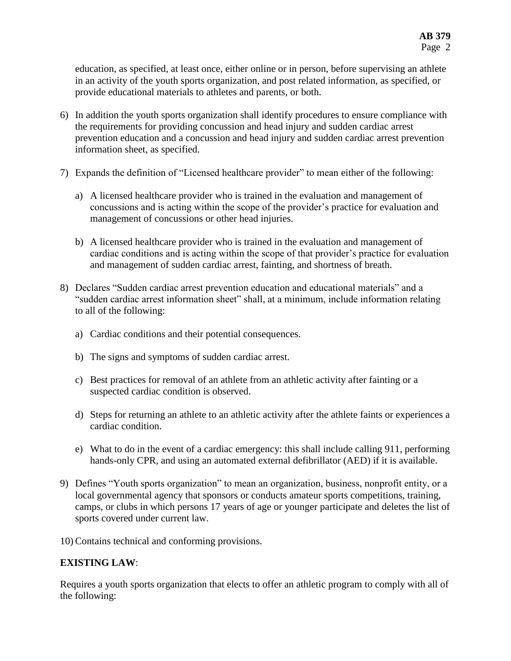education, as specified, at least once, either online or in person, before supervising an athlete in an activity of the youth sports organization, and post related information, as specified, or provide educational materials to athletes and parents, or both.

- 6) In addition the youth sports organization shall identify procedures to ensure compliance with the requirements for providing concussion and head injury and sudden cardiac arrest prevention education and a concussion and head injury and sudden cardiac arrest prevention information sheet, as specified.
- 7) Expands the definition of "Licensed healthcare provider" to mean either of the following:
	- a) A licensed healthcare provider who is trained in the evaluation and management of concussions and is acting within the scope of the provider's practice for evaluation and management of concussions or other head injuries.
	- b) A licensed healthcare provider who is trained in the evaluation and management of cardiac conditions and is acting within the scope of that provider's practice for evaluation and management of sudden cardiac arrest, fainting, and shortness of breath.
- 8) Declares "Sudden cardiac arrest prevention education and educational materials" and a "sudden cardiac arrest information sheet" shall, at a minimum, include information relating to all of the following:
	- a) Cardiac conditions and their potential consequences.
	- b) The signs and symptoms of sudden cardiac arrest.
	- c) Best practices for removal of an athlete from an athletic activity after fainting or a suspected cardiac condition is observed.
	- d) Steps for returning an athlete to an athletic activity after the athlete faints or experiences a cardiac condition.
	- e) What to do in the event of a cardiac emergency: this shall include calling 911, performing hands-only CPR, and using an automated external defibrillator (AED) if it is available.
- 9) Defines "Youth sports organization" to mean an organization, business, nonprofit entity, or a local governmental agency that sponsors or conducts amateur sports competitions, training, camps, or clubs in which persons 17 years of age or younger participate and deletes the list of sports covered under current law.

10) Contains technical and conforming provisions.

## **EXISTING LAW**:

Requires a youth sports organization that elects to offer an athletic program to comply with all of the following: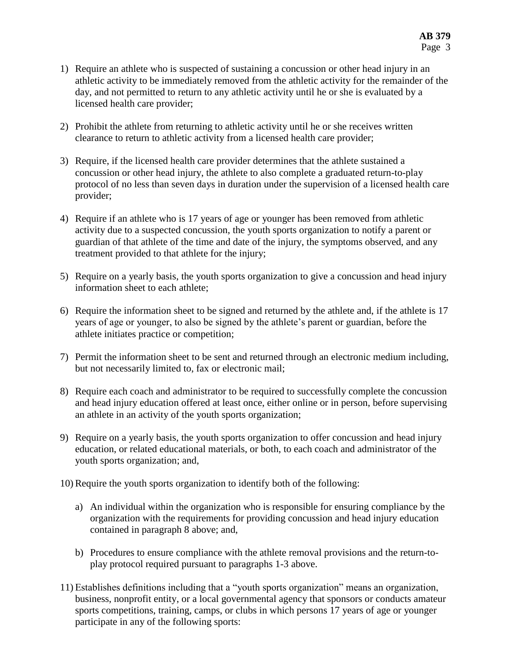- 1) Require an athlete who is suspected of sustaining a concussion or other head injury in an athletic activity to be immediately removed from the athletic activity for the remainder of the day, and not permitted to return to any athletic activity until he or she is evaluated by a licensed health care provider;
- 2) Prohibit the athlete from returning to athletic activity until he or she receives written clearance to return to athletic activity from a licensed health care provider;
- 3) Require, if the licensed health care provider determines that the athlete sustained a concussion or other head injury, the athlete to also complete a graduated return-to-play protocol of no less than seven days in duration under the supervision of a licensed health care provider;
- 4) Require if an athlete who is 17 years of age or younger has been removed from athletic activity due to a suspected concussion, the youth sports organization to notify a parent or guardian of that athlete of the time and date of the injury, the symptoms observed, and any treatment provided to that athlete for the injury;
- 5) Require on a yearly basis, the youth sports organization to give a concussion and head injury information sheet to each athlete;
- 6) Require the information sheet to be signed and returned by the athlete and, if the athlete is 17 years of age or younger, to also be signed by the athlete's parent or guardian, before the athlete initiates practice or competition;
- 7) Permit the information sheet to be sent and returned through an electronic medium including, but not necessarily limited to, fax or electronic mail;
- 8) Require each coach and administrator to be required to successfully complete the concussion and head injury education offered at least once, either online or in person, before supervising an athlete in an activity of the youth sports organization;
- 9) Require on a yearly basis, the youth sports organization to offer concussion and head injury education, or related educational materials, or both, to each coach and administrator of the youth sports organization; and,
- 10) Require the youth sports organization to identify both of the following:
	- a) An individual within the organization who is responsible for ensuring compliance by the organization with the requirements for providing concussion and head injury education contained in paragraph 8 above; and,
	- b) Procedures to ensure compliance with the athlete removal provisions and the return-toplay protocol required pursuant to paragraphs 1-3 above.
- 11) Establishes definitions including that a "youth sports organization" means an organization, business, nonprofit entity, or a local governmental agency that sponsors or conducts amateur sports competitions, training, camps, or clubs in which persons 17 years of age or younger participate in any of the following sports: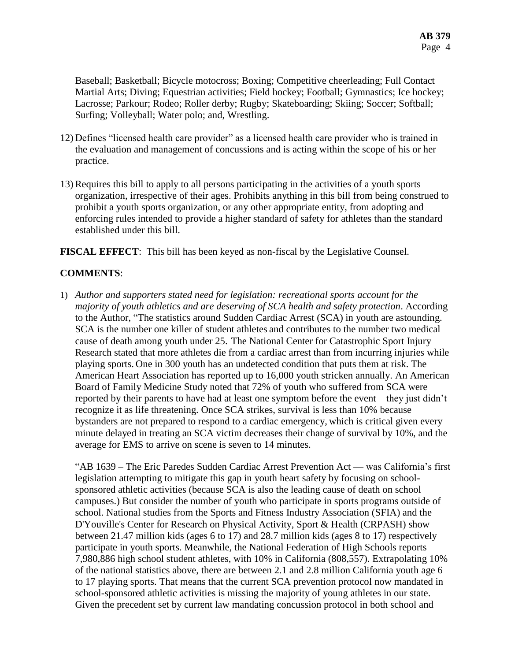Baseball; Basketball; Bicycle motocross; Boxing; Competitive cheerleading; Full Contact Martial Arts; Diving; Equestrian activities; Field hockey; Football; Gymnastics; Ice hockey; Lacrosse; Parkour; Rodeo; Roller derby; Rugby; Skateboarding; Skiing; Soccer; Softball; Surfing; Volleyball; Water polo; and, Wrestling.

- 12) Defines "licensed health care provider" as a licensed health care provider who is trained in the evaluation and management of concussions and is acting within the scope of his or her practice.
- 13) Requires this bill to apply to all persons participating in the activities of a youth sports organization, irrespective of their ages. Prohibits anything in this bill from being construed to prohibit a youth sports organization, or any other appropriate entity, from adopting and enforcing rules intended to provide a higher standard of safety for athletes than the standard established under this bill.

**FISCAL EFFECT**: This bill has been keyed as non-fiscal by the Legislative Counsel.

## **COMMENTS**:

1) *Author and supporters stated need for legislation: recreational sports account for the majority of youth athletics and are deserving of SCA health and safety protection*. According to the Author, "The statistics around Sudden Cardiac Arrest (SCA) in youth are astounding. SCA is the number one killer of student athletes and contributes to the number two medical cause of death among youth under 25. The National Center for Catastrophic Sport Injury Research stated that more athletes die from a cardiac arrest than from incurring injuries while playing sports. One in 300 youth has an undetected condition that puts them at risk. The American Heart Association has reported up to 16,000 youth stricken annually. An American Board of Family Medicine Study noted that 72% of youth who suffered from SCA were reported by their parents to have had at least one symptom before the event—they just didn't recognize it as life threatening. Once SCA strikes, survival is less than 10% because bystanders are not prepared to respond to a cardiac emergency, which is critical given every minute delayed in treating an SCA victim decreases their change of survival by 10%, and the average for EMS to arrive on scene is seven to 14 minutes.

"AB 1639 – The Eric Paredes Sudden Cardiac Arrest Prevention Act — was California's first legislation attempting to mitigate this gap in youth heart safety by focusing on schoolsponsored athletic activities (because SCA is also the leading cause of death on school campuses.) But consider the number of youth who participate in sports programs outside of school. National studies from the Sports and Fitness Industry Association (SFIA) and the D'Youville's Center for Research on Physical Activity, Sport & Health (CRPASH) show between 21.47 million kids (ages 6 to 17) and 28.7 million kids (ages 8 to 17) respectively participate in youth sports. Meanwhile, the National Federation of High Schools reports 7,980,886 high school student athletes, with 10% in California (808,557). Extrapolating 10% of the national statistics above, there are between 2.1 and 2.8 million California youth age 6 to 17 playing sports. That means that the current SCA prevention protocol now mandated in school-sponsored athletic activities is missing the majority of young athletes in our state. Given the precedent set by current law mandating concussion protocol in both school and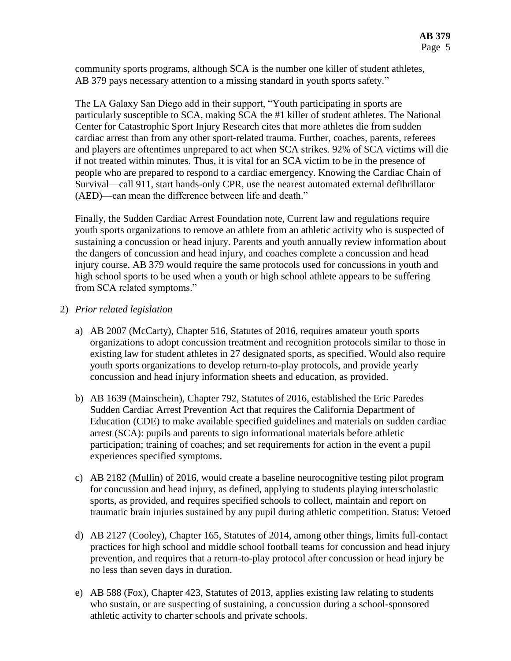community sports programs, although SCA is the number one killer of student athletes, AB 379 pays necessary attention to a missing standard in youth sports safety."

The LA Galaxy San Diego add in their support, "Youth participating in sports are particularly susceptible to SCA, making SCA the #1 killer of student athletes. The National Center for Catastrophic Sport Injury Research cites that more athletes die from sudden cardiac arrest than from any other sport-related trauma. Further, coaches, parents, referees and players are oftentimes unprepared to act when SCA strikes. 92% of SCA victims will die if not treated within minutes. Thus, it is vital for an SCA victim to be in the presence of people who are prepared to respond to a cardiac emergency. Knowing the Cardiac Chain of Survival—call 911, start hands-only CPR, use the nearest automated external defibrillator (AED)—can mean the difference between life and death."

Finally, the Sudden Cardiac Arrest Foundation note, Current law and regulations require youth sports organizations to remove an athlete from an athletic activity who is suspected of sustaining a concussion or head injury. Parents and youth annually review information about the dangers of concussion and head injury, and coaches complete a concussion and head injury course. AB 379 would require the same protocols used for concussions in youth and high school sports to be used when a youth or high school athlete appears to be suffering from SCA related symptoms."

2) *Prior related legislation*

- a) AB 2007 (McCarty), Chapter 516, Statutes of 2016, requires amateur youth sports organizations to adopt concussion treatment and recognition protocols similar to those in existing law for student athletes in 27 designated sports, as specified. Would also require youth sports organizations to develop return-to-play protocols, and provide yearly concussion and head injury information sheets and education, as provided.
- b) AB 1639 (Mainschein), Chapter 792, Statutes of 2016, established the Eric Paredes Sudden Cardiac Arrest Prevention Act that requires the California Department of Education (CDE) to make available specified guidelines and materials on sudden cardiac arrest (SCA): pupils and parents to sign informational materials before athletic participation; training of coaches; and set requirements for action in the event a pupil experiences specified symptoms.
- c) AB 2182 (Mullin) of 2016, would create a baseline neurocognitive testing pilot program for concussion and head injury, as defined, applying to students playing interscholastic sports, as provided, and requires specified schools to collect, maintain and report on traumatic brain injuries sustained by any pupil during athletic competition. Status: Vetoed
- d) AB 2127 (Cooley), Chapter 165, Statutes of 2014, among other things, limits full-contact practices for high school and middle school football teams for concussion and head injury prevention, and requires that a return-to-play protocol after concussion or head injury be no less than seven days in duration.
- e) AB 588 (Fox), Chapter 423, Statutes of 2013, applies existing law relating to students who sustain, or are suspecting of sustaining, a concussion during a school-sponsored athletic activity to charter schools and private schools.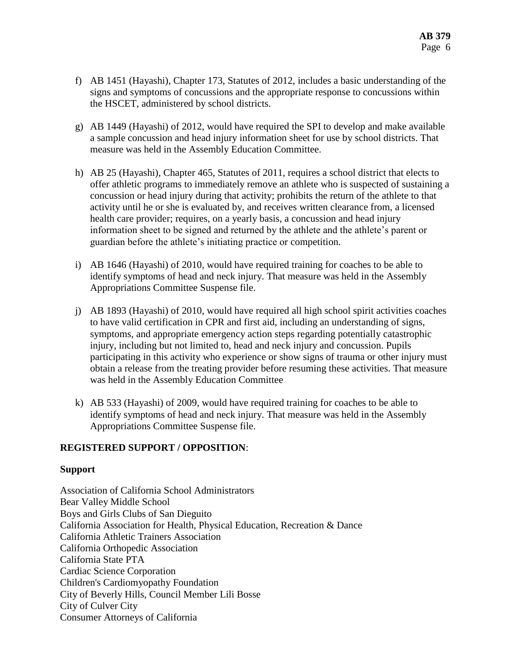- f) AB 1451 (Hayashi), Chapter 173, Statutes of 2012, includes a basic understanding of the signs and symptoms of concussions and the appropriate response to concussions within the HSCET, administered by school districts.
- g) AB 1449 (Hayashi) of 2012, would have required the SPI to develop and make available a sample concussion and head injury information sheet for use by school districts. That measure was held in the Assembly Education Committee.
- h) AB 25 (Hayashi), Chapter 465, Statutes of 2011, requires a school district that elects to offer athletic programs to immediately remove an athlete who is suspected of sustaining a concussion or head injury during that activity; prohibits the return of the athlete to that activity until he or she is evaluated by, and receives written clearance from, a licensed health care provider; requires, on a yearly basis, a concussion and head injury information sheet to be signed and returned by the athlete and the athlete's parent or guardian before the athlete's initiating practice or competition.
- i) AB 1646 (Hayashi) of 2010, would have required training for coaches to be able to identify symptoms of head and neck injury. That measure was held in the Assembly Appropriations Committee Suspense file.
- j) AB 1893 (Hayashi) of 2010, would have required all high school spirit activities coaches to have valid certification in CPR and first aid, including an understanding of signs, symptoms, and appropriate emergency action steps regarding potentially catastrophic injury, including but not limited to, head and neck injury and concussion. Pupils participating in this activity who experience or show signs of trauma or other injury must obtain a release from the treating provider before resuming these activities. That measure was held in the Assembly Education Committee
- k) AB 533 (Hayashi) of 2009, would have required training for coaches to be able to identify symptoms of head and neck injury. That measure was held in the Assembly Appropriations Committee Suspense file.

## **REGISTERED SUPPORT / OPPOSITION**:

#### **Support**

Association of California School Administrators Bear Valley Middle School Boys and Girls Clubs of San Dieguito California Association for Health, Physical Education, Recreation & Dance California Athletic Trainers Association California Orthopedic Association California State PTA Cardiac Science Corporation Children's Cardiomyopathy Foundation City of Beverly Hills, Council Member Lili Bosse City of Culver City Consumer Attorneys of California